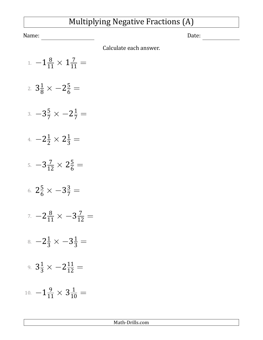## Multiplying Negative Fractions (A)

Name: Date:

Calculate each answer.

- 1.  $-1\frac{8}{11} \times 1\frac{7}{11} =$
- 2.  $3\frac{1}{8} \times -2\frac{5}{6} =$
- 3.  $-3\frac{5}{7} \times -2\frac{1}{7} =$
- 4. −2<sup>1</sup>/<sub>2</sub> × 2<sup>1</sup>/<sub>3</sub> =
- 5.  $-3\frac{7}{12} \times 2\frac{5}{6} =$
- 6.  $2\frac{5}{6} \times -3\frac{3}{7} =$
- 7.  $-2\frac{8}{11} \times -3\frac{7}{12} =$
- $8. -2\frac{1}{3} \times -3\frac{1}{3} =$
- 9.  $3\frac{1}{3} \times -2\frac{11}{12} =$
- 10.  $-1\frac{9}{11} \times 3\frac{1}{10} =$